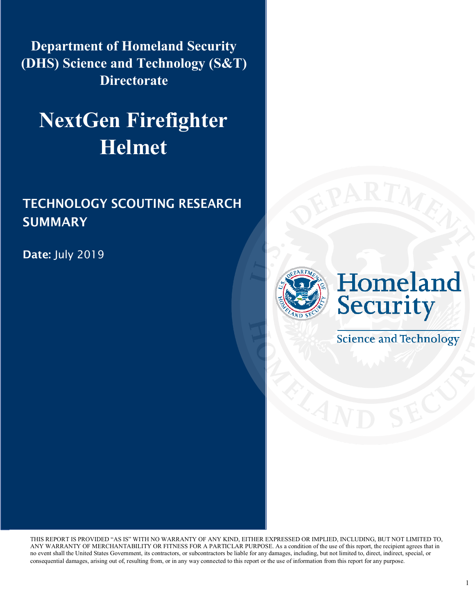**Department of Homeland Security (DHS) Science and Technology (S&T) Directorate** 

# **NextGen Firefighter Helmet**

### TECHNOLOGY SCOUTING RESEARCH SUMMARY

Date: July 2019



**Science and Technology** 

THIS REPORT IS PROVIDED "AS IS" WITH NO WARRANTY OF ANY KIND, EITHER EXPRESSED OR IMPLIED, INCLUDING, BUT NOT LIMITED TO, ANY WARRANTY OF MERCHANTABILITY OR FITNESS FOR A PARTICLAR PURPOSE. As a condition of the use of this report, the recipient agrees that in no event shall the United States Government, its contractors, or subcontractors be liable for any damages, including, but not limited to, direct, indirect, special, or consequential damages, arising out of, resulting from, or in any way connected to this report or the use of information from this report for any purpose.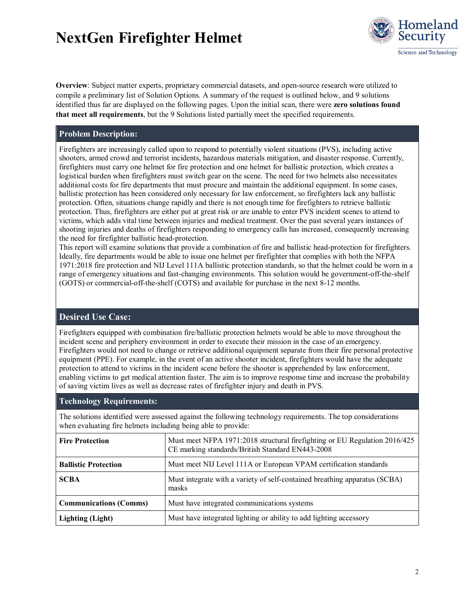

**Overview**: Subject matter experts, proprietary commercial datasets, and open-source research were utilized to compile a preliminary list of Solution Options. A summary of the request is outlined below, and 9 solutions identified thus far are displayed on the following pages. Upon the initial scan, there were **zero solutions found that meet all requirements**, but the 9 Solutions listed partially meet the specified requirements.

#### **Problem Description:**

Firefighters are increasingly called upon to respond to potentially violent situations (PVS), including active shooters, armed crowd and terrorist incidents, hazardous materials mitigation, and disaster response. Currently, firefighters must carry one helmet for fire protection and one helmet for ballistic protection, which creates a logistical burden when firefighters must switch gear on the scene. The need for two helmets also necessitates additional costs for fire departments that must procure and maintain the additional equipment. In some cases, ballistic protection has been considered only necessary for law enforcement, so firefighters lack any ballistic protection. Often, situations change rapidly and there is not enough time for firefighters to retrieve ballistic protection. Thus, firefighters are either put at great risk or are unable to enter PVS incident scenes to attend to victims, which adds vital time between injuries and medical treatment. Over the past several years instances of shooting injuries and deaths of firefighters responding to emergency calls has increased, consequently increasing the need for firefighter ballistic head-protection.

This report will examine solutions that provide a combination of fire and ballistic head-protection for firefighters. Ideally, fire departments would be able to issue one helmet per firefighter that complies with both the NFPA 1971:2018 fire protection and NIJ Level 111A ballistic protection standards, so that the helmet could be worn in a range of emergency situations and fast-changing environments. This solution would be government-off-the-shelf (GOTS) or commercial-off-the-shelf (COTS) and available for purchase in the next 8-12 months.

### **Desired Use Case:**

Firefighters equipped with combination fire/ballistic protection helmets would be able to move throughout the incident scene and periphery environment in order to execute their mission in the case of an emergency. Firefighters would not need to change or retrieve additional equipment separate from their fire personal protective equipment (PPE). For example, in the event of an active shooter incident, firefighters would have the adequate protection to attend to victims in the incident scene before the shooter is apprehended by law enforcement, enabling victims to get medical attention faster. The aim is to improve response time and increase the probability of saving victim lives as well as decrease rates of firefighter injury and death in PVS.

#### **Technology Requirements:**

The solutions identified were assessed against the following technology requirements. The top considerations when evaluating fire helmets including being able to provide:

| <b>Fire Protection</b>        | Must meet NFPA 1971:2018 structural firefighting or EU Regulation 2016/425<br>CE marking standards/British Standard EN443-2008 |  |  |
|-------------------------------|--------------------------------------------------------------------------------------------------------------------------------|--|--|
| <b>Ballistic Protection</b>   | Must meet NIJ Level 111A or European VPAM certification standards                                                              |  |  |
| <b>SCBA</b>                   | Must integrate with a variety of self-contained breathing apparatus (SCBA)<br>masks                                            |  |  |
| <b>Communications (Comms)</b> | Must have integrated communications systems                                                                                    |  |  |
| <b>Lighting (Light)</b>       | Must have integrated lighting or ability to add lighting accessory                                                             |  |  |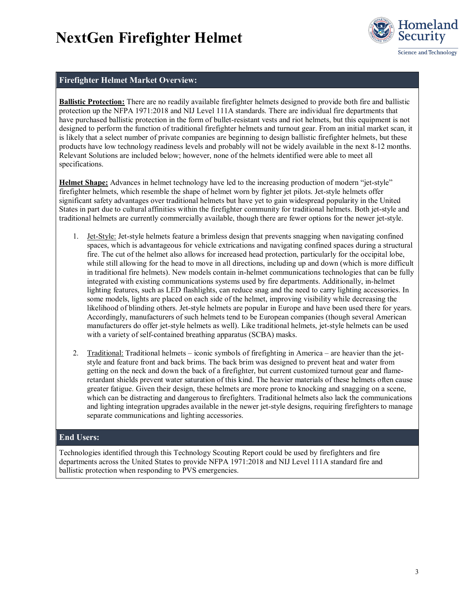

#### **Firefighter Helmet Market Overview:**

**Ballistic Protection:** There are no readily available firefighter helmets designed to provide both fire and ballistic protection up the NFPA 1971:2018 and NIJ Level 111A standards. There are individual fire departments that have purchased ballistic protection in the form of bullet-resistant vests and riot helmets, but this equipment is not designed to perform the function of traditional firefighter helmets and turnout gear. From an initial market scan, it is likely that a select number of private companies are beginning to design ballistic firefighter helmets, but these products have low technology readiness levels and probably will not be widely available in the next 8-12 months. Relevant Solutions are included below; however, none of the helmets identified were able to meet all specifications.

**Helmet Shape:** Advances in helmet technology have led to the increasing production of modern "jet-style" firefighter helmets, which resemble the shape of helmet worn by fighter jet pilots. Jet-style helmets offer significant safety advantages over traditional helmets but have yet to gain widespread popularity in the United States in part due to cultural affinities within the firefighter community for traditional helmets. Both jet-style and traditional helmets are currently commercially available, though there are fewer options for the newer jet-style.

- 1. Jet-Style: Jet-style helmets feature a brimless design that prevents snagging when navigating confined spaces, which is advantageous for vehicle extrications and navigating confined spaces during a structural fire. The cut of the helmet also allows for increased head protection, particularly for the occipital lobe, while still allowing for the head to move in all directions, including up and down (which is more difficult in traditional fire helmets). New models contain in-helmet communications technologies that can be fully integrated with existing communications systems used by fire departments. Additionally, in-helmet lighting features, such as LED flashlights, can reduce snag and the need to carry lighting accessories. In some models, lights are placed on each side of the helmet, improving visibility while decreasing the likelihood of blinding others. Jet-style helmets are popular in Europe and have been used there for years. Accordingly, manufacturers of such helmets tend to be European companies (though several American manufacturers do offer jet-style helmets as well). Like traditional helmets, jet-style helmets can be used with a variety of self-contained breathing apparatus (SCBA) masks.
- 2. Traditional: Traditional helmets iconic symbols of firefighting in America are heavier than the jetstyle and feature front and back brims. The back brim was designed to prevent heat and water from getting on the neck and down the back of a firefighter, but current customized turnout gear and flameretardant shields prevent water saturation of this kind. The heavier materials of these helmets often cause greater fatigue. Given their design, these helmets are more prone to knocking and snagging on a scene, which can be distracting and dangerous to firefighters. Traditional helmets also lack the communications and lighting integration upgrades available in the newer jet-style designs, requiring firefighters to manage separate communications and lighting accessories.

#### **End Users:**

Technologies identified through this Technology Scouting Report could be used by firefighters and fire departments across the United States to provide NFPA 1971:2018 and NIJ Level 111A standard fire and ballistic protection when responding to PVS emergencies.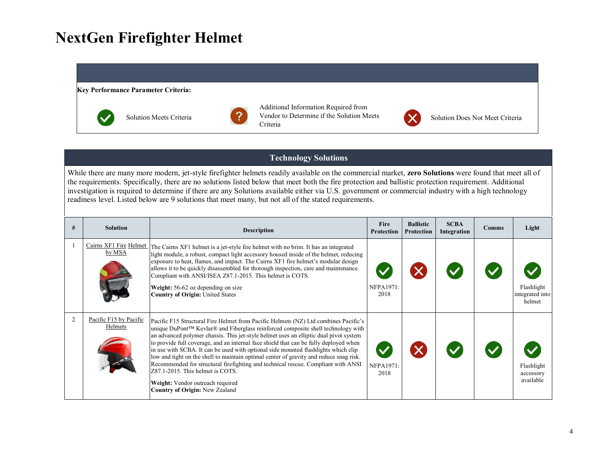#### **Key Performance Parameter Criteria:**



Solution Meets Criteria



Additional Information Required from Vendor to Determine if the Solution Meets Criteria



Solution Does Not Meet Criteria

### **Technology Solutions**

While there are many more modern, jet-style firefighter helmets readily available on the commercial market, **zero Solutions** were found that meet all of the requirements. Specifically, there are no solutions listed below that meet both the fire protection and ballistic protection requirement. Additional investigation is required to determine if there are any Solutions available either via U.S. government or commercial industry with a high technology readiness level. Listed below are 9 solutions that meet many, but not all of the stated requirements.

| #              | <b>Solution</b>                   | <b>Description</b>                                                                                                                                                                                                                                                                                                                                                                                                                                                                                                                                                                                                                                                                                                                              | Fire<br>Protection | <b>Ballistic</b><br><b>Protection</b> | <b>SCBA</b><br>Integration | <b>Comms</b> | Light                                   |
|----------------|-----------------------------------|-------------------------------------------------------------------------------------------------------------------------------------------------------------------------------------------------------------------------------------------------------------------------------------------------------------------------------------------------------------------------------------------------------------------------------------------------------------------------------------------------------------------------------------------------------------------------------------------------------------------------------------------------------------------------------------------------------------------------------------------------|--------------------|---------------------------------------|----------------------------|--------------|-----------------------------------------|
|                | Cairns XF1 Fire Helmet<br>by MSA  | The Cairns XF1 helmet is a jet-style fire helmet with no brim. It has an integrated<br>light module, a robust, compact light accessory housed inside of the helmet, reducing<br>exposure to heat, flames, and impact. The Cairns XF1 fire helmet's modular design<br>allows it to be quickly disassembled for thorough inspection, care and maintenance.<br>Compliant with ANSI/ISEA Z87.1-2015. This helmet is COTS.<br>Weight: 56-62 oz depending on size<br><b>Country of Origin: United States</b>                                                                                                                                                                                                                                          | NFPA1971:<br>2018  |                                       |                            |              | Flashlight<br>integrated into<br>helmet |
| $\mathfrak{D}$ | Pacific F15 by Pacific<br>Helmets | Pacific F15 Structural Fire Helmet from Pacific Helmets (NZ) Ltd combines Pacific's<br>unique DuPont™ Kevlar® and Fiberglass reinforced composite shell technology with<br>an advanced polymer chassis. This jet-style helmet uses an elliptic dual pivot system<br>to provide full coverage, and an internal face shield that can be fully deployed when<br>in use with SCBA. It can be used with optional side mounted flashlights which clip<br>low and tight on the shell to maintain optimal center of gravity and reduce snag risk.<br>Recommended for structural firefighting and technical rescue. Compliant with ANSI<br>Z87.1-2015. This helmet is COTS.<br>Weight: Vendor outreach required<br><b>Country of Origin: New Zealand</b> | NFPA1971:<br>2018  |                                       |                            |              | Flashlight<br>accessory<br>available    |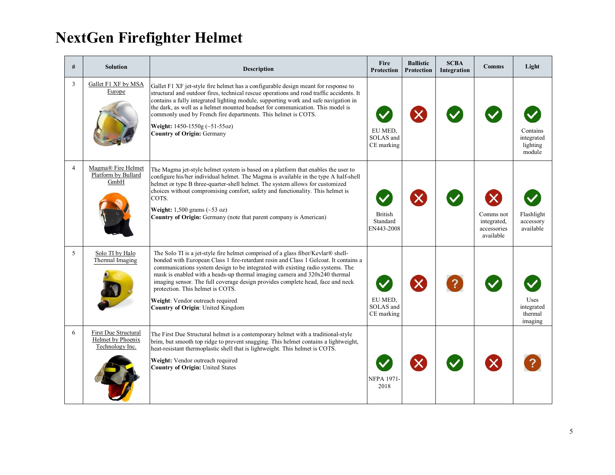| #              | <b>Solution</b>                                                     | <b>Description</b>                                                                                                                                                                                                                                                                                                                                                                                                                                                                                                                      | Fire<br><b>Protection</b>                | <b>Ballistic</b><br><b>Protection</b> | <b>SCBA</b><br>Integration | <b>Comms</b>                                                                      | Light                                        |
|----------------|---------------------------------------------------------------------|-----------------------------------------------------------------------------------------------------------------------------------------------------------------------------------------------------------------------------------------------------------------------------------------------------------------------------------------------------------------------------------------------------------------------------------------------------------------------------------------------------------------------------------------|------------------------------------------|---------------------------------------|----------------------------|-----------------------------------------------------------------------------------|----------------------------------------------|
| 3              | Gallet F1 XF by MSA<br>Europe                                       | Gallet F1 XF jet-style fire helmet has a configurable design meant for response to<br>structural and outdoor fires, technical rescue operations and road traffic accidents. It<br>contains a fully integrated lighting module, supporting work and safe navigation in<br>the dark, as well as a helmet mounted headset for communication. This model is<br>commonly used by French fire departments. This helmet is COTS.<br>Weight: $1450 - 1550g$ (~51-55oz)<br><b>Country of Origin: Germany</b>                                     | EU MED.<br>SOLAS and<br>CE marking       |                                       |                            |                                                                                   | Contains<br>integrated<br>lighting<br>module |
| $\overline{4}$ | Magma® Fire Helmet<br>Platform by Bullard<br>GmbH                   | The Magma jet-style helmet system is based on a platform that enables the user to<br>configure his/her individual helmet. The Magma is available in the type A half-shell<br>helmet or type B three-quarter-shell helmet. The system allows for customized<br>choices without compromising comfort, safety and functionality. This helmet is<br>COTS.<br>Weight: $1,500$ grams (~53 oz)<br>Country of Origin: Germany (note that parent company is American)                                                                            | <b>British</b><br>Standard<br>EN443-2008 |                                       |                            | $\boldsymbol{\mathsf{x}}$<br>Comms not<br>integrated,<br>accessories<br>available | Flashlight<br>accessory<br>available         |
| 5              | Solo TI by Halo<br>Thermal Imaging                                  | The Solo TI is a jet-style fire helmet comprised of a glass fiber/Kevlar® shell-<br>bonded with European Class 1 fire-retardant resin and Class 1 Gelcoat. It contains a<br>communications system design to be integrated with existing radio systems. The<br>mask is enabled with a heads-up thermal imaging camera and 320x240 thermal<br>imaging sensor. The full coverage design provides complete head, face and neck<br>protection. This helmet is COTS.<br>Weight: Vendor outreach required<br>Country of Origin: United Kingdom | EU MED.<br>SOLAS and<br>CE marking       | $\bm{\times}$                         | $\mathbf{R}$               |                                                                                   | Uses<br>integrated<br>thermal<br>imaging     |
| 6              | First Due Structural<br><b>Helmet</b> by Phoenix<br>Technology Inc. | The First Due Structural helmet is a contemporary helmet with a traditional-style<br>brim, but smooth top ridge to prevent snagging. This helmet contains a lightweight,<br>heat-resistant thermoplastic shell that is lightweight. This helmet is COTS.<br>Weight: Vendor outreach required<br><b>Country of Origin: United States</b>                                                                                                                                                                                                 | <b>NFPA 1971</b><br>2018                 |                                       |                            | $\boldsymbol{\times}$                                                             |                                              |